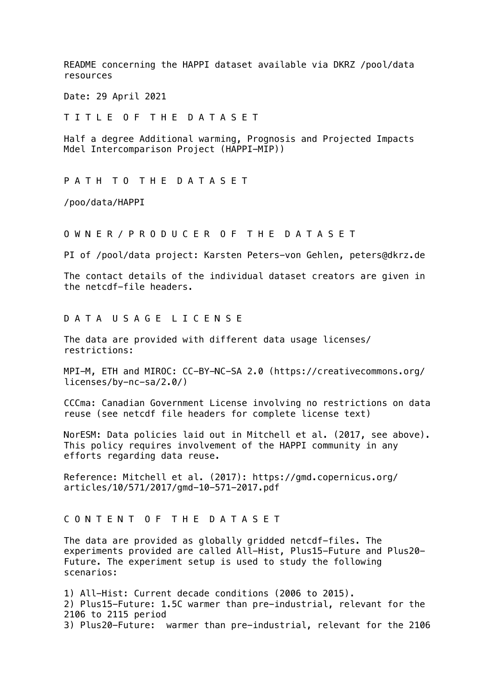README concerning the HAPPI dataset available via DKRZ /pool/data resources

Date: 29 April 2021

T I T L E O F T H E D A T A S E T

Half a degree Additional warming, Prognosis and Projected Impacts Mdel Intercomparison Project (HAPPI-MIP))

P A T H T O T H E D A T A S E T

/poo/data/HAPPI

O W N E R / P R O D U C E R O F T H E D A T A S E T

PI of /pool/data project: Karsten Peters-von Gehlen, peters@dkrz.de

The contact details of the individual dataset creators are given in the netcdf-file headers.

## D A T A U S A G E L I C E N S E

The data are provided with different data usage licenses/ restrictions:

MPI-M, ETH and MIROC: CC-BY-NC-SA 2.0 (https://creativecommons.org/ licenses/by-nc-sa/2.0/)

CCCma: Canadian Government License involving no restrictions on data reuse (see netcdf file headers for complete license text)

NorESM: Data policies laid out in Mitchell et al. (2017, see above). This policy requires involvement of the HAPPI community in any efforts regarding data reuse.

Reference: Mitchell et al. (2017): https://gmd.copernicus.org/ articles/10/571/2017/gmd-10-571-2017.pdf

## C O N T E N T O F T H E D A T A S E T

The data are provided as globally gridded netcdf-files. The experiments provided are called All-Hist, Plus15-Future and Plus20- Future. The experiment setup is used to study the following scenarios:

1) All-Hist: Current decade conditions (2006 to 2015). 2) Plus15-Future: 1.5C warmer than pre-industrial, relevant for the 2106 to 2115 period 3) Plus20-Future: warmer than pre-industrial, relevant for the 2106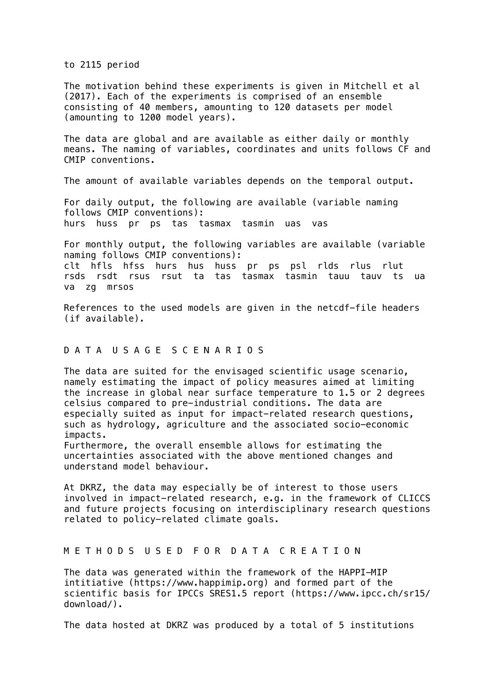to 2115 period

The motivation behind these experiments is given in Mitchell et al (2017). Each of the experiments is comprised of an ensemble consisting of 40 members, amounting to 120 datasets per model (amounting to 1200 model years).

The data are global and are available as either daily or monthly means. The naming of variables, coordinates and units follows CF and CMIP conventions.

The amount of available variables depends on the temporal output.

For daily output, the following are available (variable naming follows CMIP conventions): hurs huss pr ps tas tasmax tasmin uas vas

For monthly output, the following variables are available (variable naming follows CMIP conventions): clt hfls hfss hurs hus huss pr ps psl rlds rlus rlut rsds rsdt rsus rsut ta tas tasmax tasmin tauu tauv ts ua va zg mrsos

References to the used models are given in the netcdf-file headers (if available).

## D A T A U S A G E S C E N A R I O S

The data are suited for the envisaged scientific usage scenario, namely estimating the impact of policy measures aimed at limiting the increase in global near surface temperature to 1.5 or 2 degrees celsius compared to pre-industrial conditions. The data are especially suited as input for impact-related research questions, such as hydrology, agriculture and the associated socio-economic impacts.

Furthermore, the overall ensemble allows for estimating the uncertainties associated with the above mentioned changes and understand model behaviour.

At DKRZ, the data may especially be of interest to those users involved in impact-related research, e.g. in the framework of CLICCS and future projects focusing on interdisciplinary research questions related to policy-related climate goals.

## M E T H O D S U S E D F O R D A T A C R E A T I O N

The data was generated within the framework of the HAPPI-MIP intitiative (https://www.happimip.org) and formed part of the scientific basis for IPCCs SRES1.5 report (https://www.ipcc.ch/sr15/ download/).

The data hosted at DKRZ was produced by a total of 5 institutions